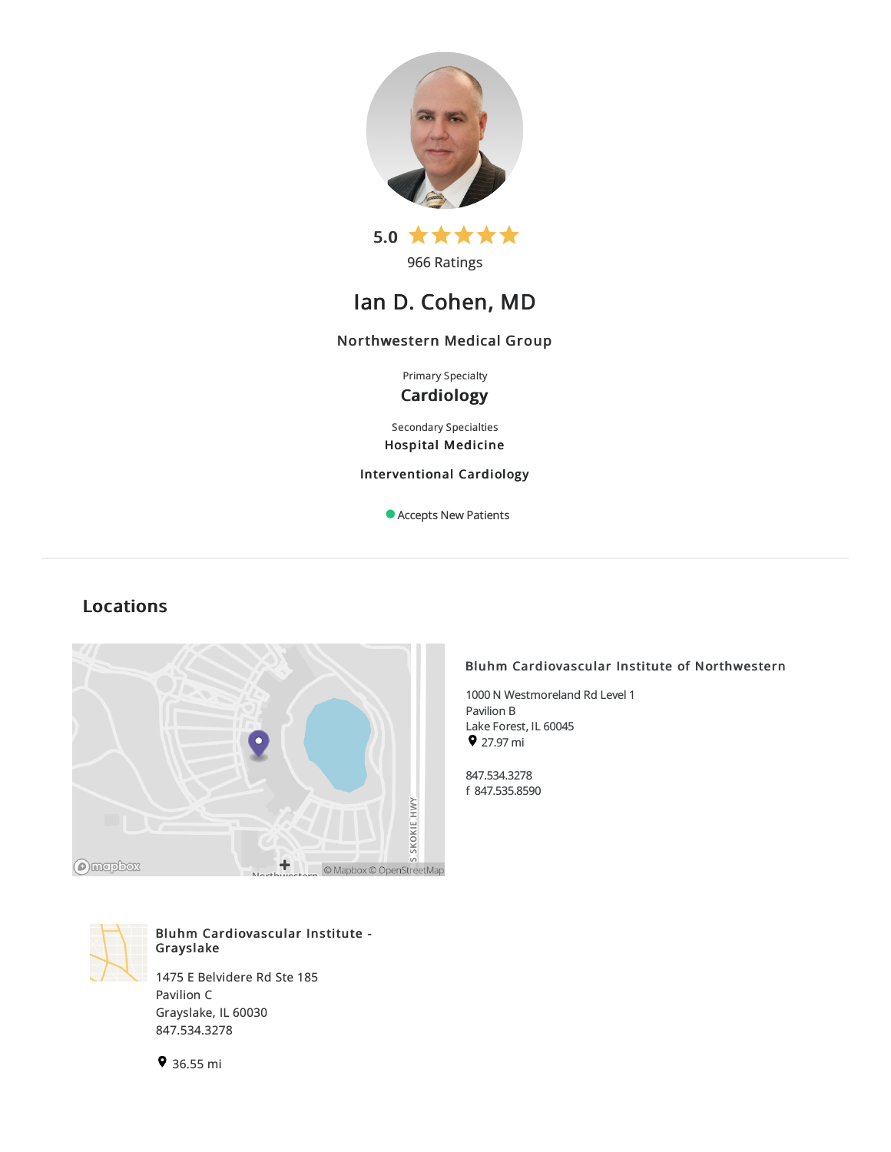



966 Ratings

# Ian D. Cohen, MD

## Northwestern Medical Group

Primary Specialty **Cardiology** 

Secondary Specialties Hospital Medicine

Interventional Cardiology

Accepts New Patients

## Locations





Bluhm Cardiovascular Institute - Grayslake

1475 E Belvidere Rd Ste 185 Pavilion C Grayslake, IL 60030 847.534.3278

## Bluhm Cardiovascular Institute of Northwestern

1000 N Westmoreland Rd Level 1 Pavilion B Lake Forest, IL 60045  $927.97 \text{ mi}$ 

847.534.3278 f 847.535.8590

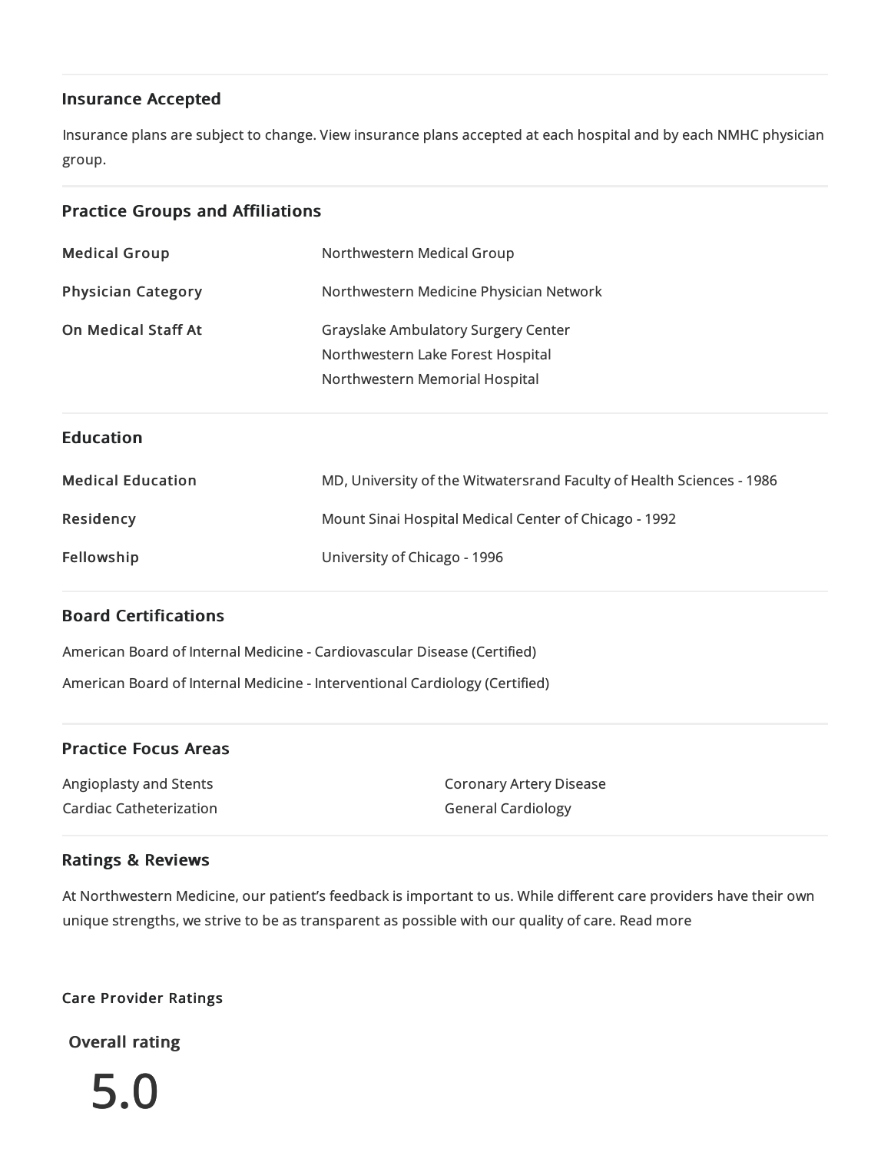## Insurance Accepted

Insurance plans are subject to change. View [insurance](https://www.nm.org/patients-and-visitors/billing-and-insurance/insurance-information/accepted-insurance-plans) plans accepted at each hospital and by each NMHC physician group.

## Practice Groups and Affiliations

| <b>Medical Group</b>       | Northwestern Medical Group                                                                                        |
|----------------------------|-------------------------------------------------------------------------------------------------------------------|
| <b>Physician Category</b>  | Northwestern Medicine Physician Network                                                                           |
| <b>On Medical Staff At</b> | <b>Grayslake Ambulatory Surgery Center</b><br>Northwestern Lake Forest Hospital<br>Northwestern Memorial Hospital |
|                            |                                                                                                                   |
| <b>Education</b>           |                                                                                                                   |
| <b>Medical Education</b>   | MD, University of the Witwatersrand Faculty of Health Sciences - 1986                                             |
| Residency                  | Mount Sinai Hospital Medical Center of Chicago - 1992                                                             |

## Board Certifications

American Board of Internal Medicine- Cardiovascular Disease(Certified) American Board of Internal Medicine- Interventional Cardiology (Certified)

## Practice Focus Areas

Angioplastyand Stents Cardiac Catheterization Coronary Artery Disease General Cardiology

## Ratings & Reviews

At Northwestern Medicine, our patient's feedback is important to us. While different care providers have their own unique strengths, we strive to be as transparent as possible with our quality of care. Read more

## Care Provider Ratings

Overall rating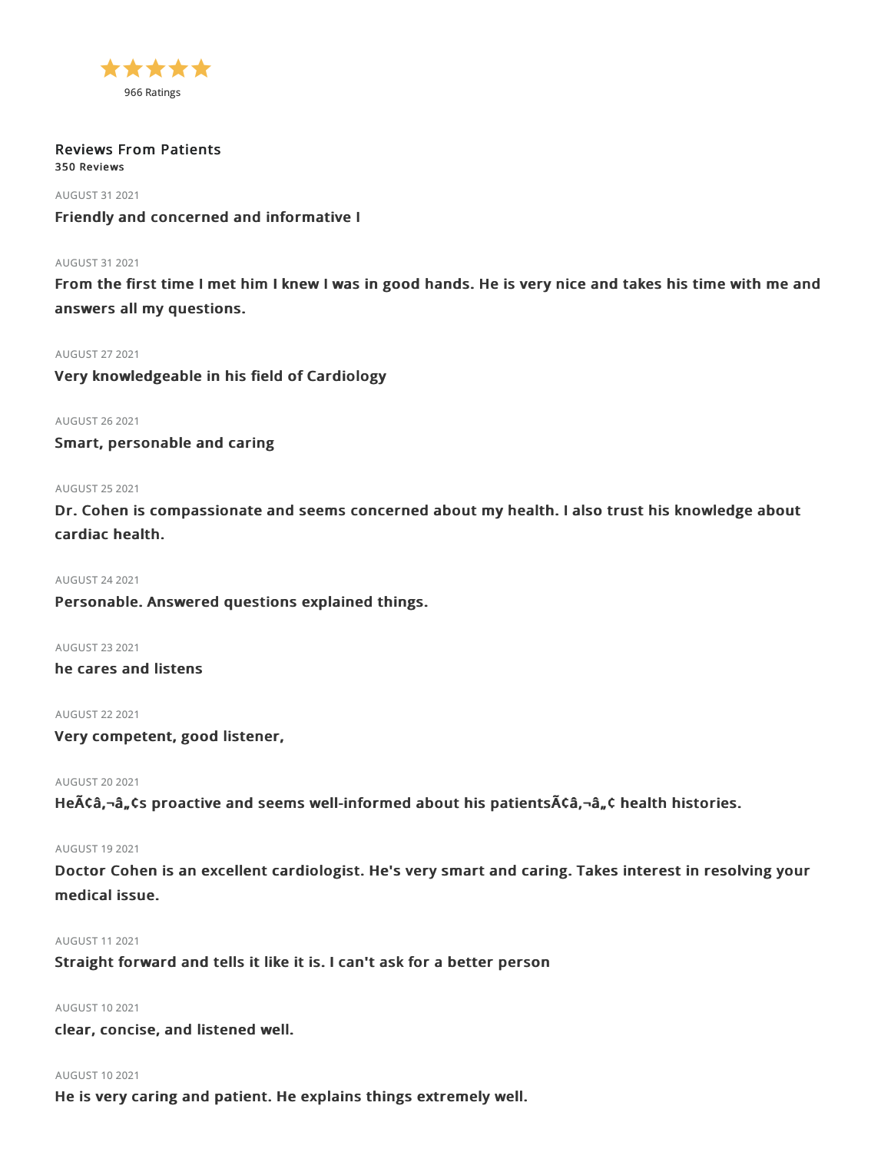

Reviews From Patients 350 Reviews

AUGUST 312021 Friendly and concerned and informative I

## AUGUST 312021

From the first time I met him I knew I was in good hands. He is very nice and takes his time with me and answers all my questions.

## AUGUST 272021

Very knowledgeable in his field of Cardiology

AUGUST 262021

Smart, personable and caring

## AUGUST 252021

Dr. Cohen is compassionate and seems concerned about my health. I also trust his knowledge about cardiac health.

AUGUST 242021 Personable. Answered questions explained things.

AUGUST 232021

he cares and listens

AUGUST 222021

Very competent, good listener,

AUGUST 202021

He $\tilde{A}$ Câ, $\neg$ â, $\zeta$ s proactive and seems well-informed about his patients $\tilde{A}$ Câ, $\neg$ â, $\zeta$  health histories.

## AUGUST 192021

Doctor Cohen is an excellent cardiologist. He's very smart and caring. Takes interest in resolving your medical issue.

### AUGUST 112021

Straight forward and tells it like it is. I can't ask for a better person

## AUGUST 102021

clear, concise, and listened well.

### AUGUST 102021

He is very caring and patient. He explains things extremely well.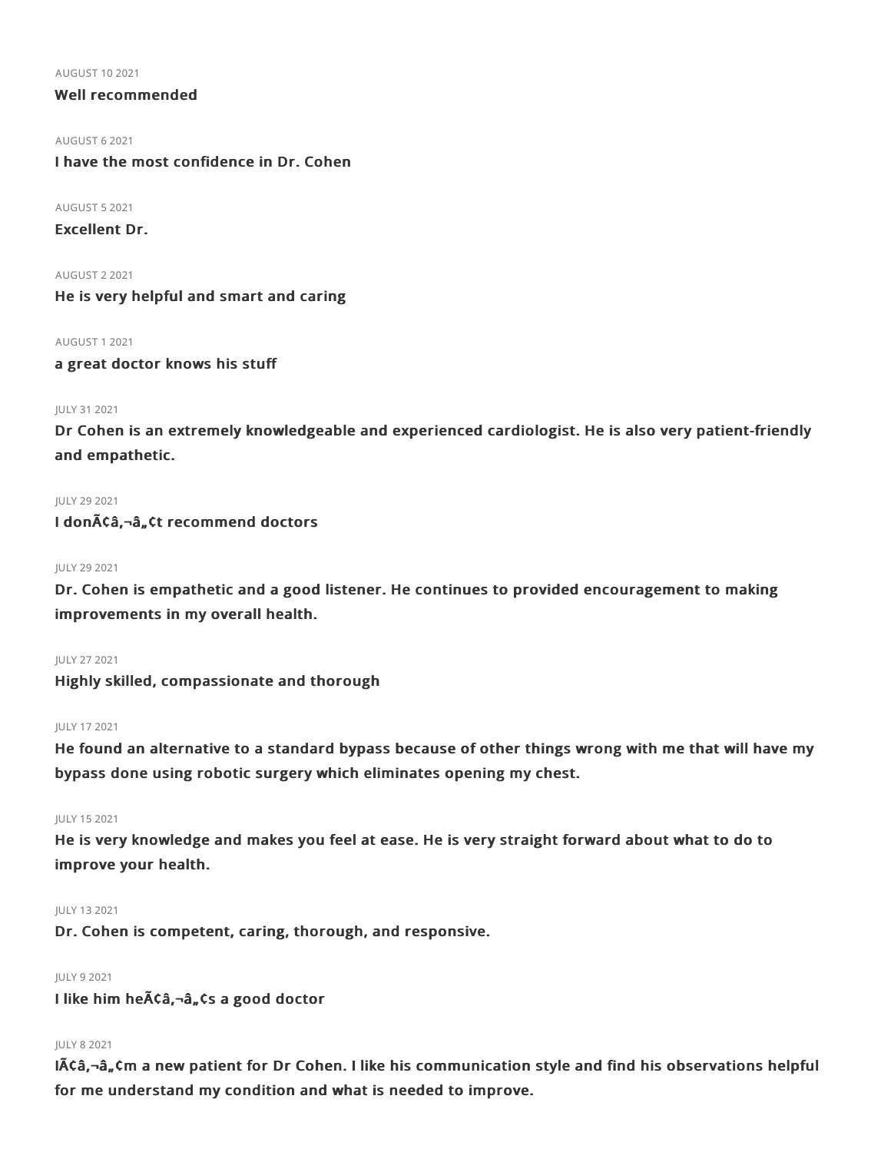AUGUST 102021

## Well recommended

AUGUST 62021

I have the most confidence in Dr. Cohen

AUGUST 52021

Excellent Dr.

AUGUST 22021 He is very helpful and smart and caring

AUGUST 12021

a great doctor knows his stuff

## JULY 312021

Dr Cohen is an extremely knowledgeable and experienced cardiologist. He is also very patient-friendly and empathetic.

## **JULY 29 2021**

I don $\tilde{A}$ Ca, $\neg \hat{a}$ , Ct recommend doctors

## JULY 292021

Dr. Cohen is empathetic and a good listener. He continues to provided encouragement to making improvements in my overall health.

JULY 272021 Highly skilled, compassionate and thorough

## JULY 172021

He found an alternative to a standard bypass because of other things wrong with me that will have my bypass done using robotic surgery which eliminates opening my chest.

## JULY 152021

He is very knowledge and makes you feel at ease. He is very straight forward about what to do to improve your health.

## JULY 132021

Dr. Cohen is competent, caring, thorough, and responsive.

## JULY 92021

I like him he $\tilde{A}$ Ca, $\neg$ a, Cs a good doctor

## JULY 82021

 $I\tilde{A}\tilde{C}$ a, $-\tilde{a}$ , $\tilde{C}$ m a new patient for Dr Cohen. I like his communication style and find his observations helpful for me understand my condition and what is needed to improve.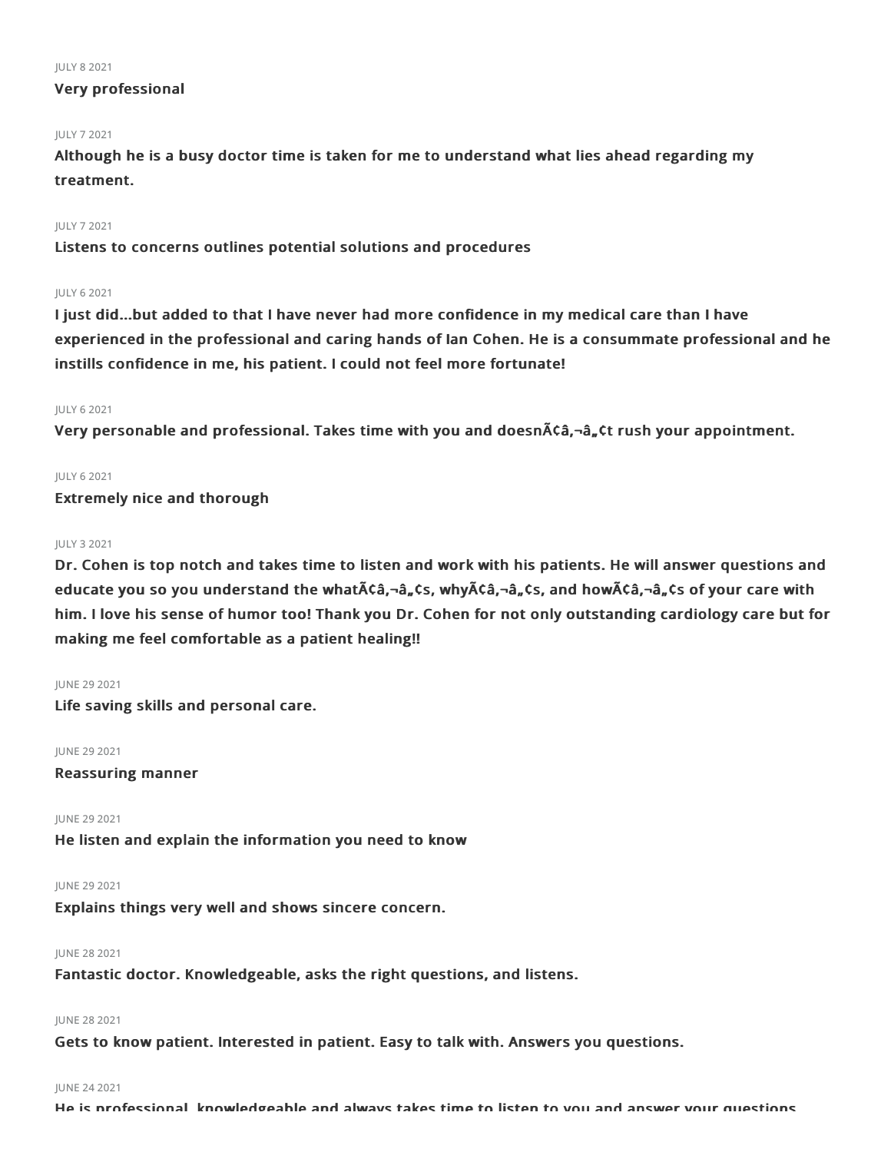#### JULY 82021

## Very professional

## JULY 72021

Although he is a busy doctor time is taken for me to understand what lies ahead regarding my treatment.

## JULY 72021

Listens to concerns outlines potential solutions and procedures

## JULY 62021

I just did...but added to that I have never had more confidence in my medical care than I have experienced in the professional and caring hands of Ian Cohen. He is a consummate professional and he instills confidence in me, his patient. I could not feel more fortunate!

## JULY 62021

Very personable and professional. Takes time with you and doesn $\tilde{A}$ ca,  $\tilde{a}$ ,  $\tilde{a}$ ,  $\tilde{c}$ t rush your appointment.

## JULY 62021

Extremely nice and thorough

### JULY 32021

Dr. Cohen is top notch and takes time to listen and work with his patients. He will answer questions and educate you so you understand the what $\tilde{A}$ câ,  $\neg$ â, cs, why $\tilde{A}$ câ,  $\neg$ â, cs, and how $\tilde{A}$ câ,  $\neg$ â, cs of your care with him. I love his sense of humor too! Thank you Dr. Cohen for not only outstanding cardiology care but for making me feel comfortable as a patient healing!!

### **IUNE 29 2021**

Life saving skills and personal care.

JUNE 292021

Reassuring manner

JUNE 29 2021

He listen and explain the information you need to know

## JUNE 29 2021

Explains things very well and shows sincere concern.

## JUNE 282021

Fantastic doctor. Knowledgeable, asks the right questions, and listens.

## JUNE 282021

Gets to know patient. Interested in patient. Easy to talk with. Answers you questions.

## JUNE 242021

He is professional, knowledgeable and always takes time to listen to you and answer your questions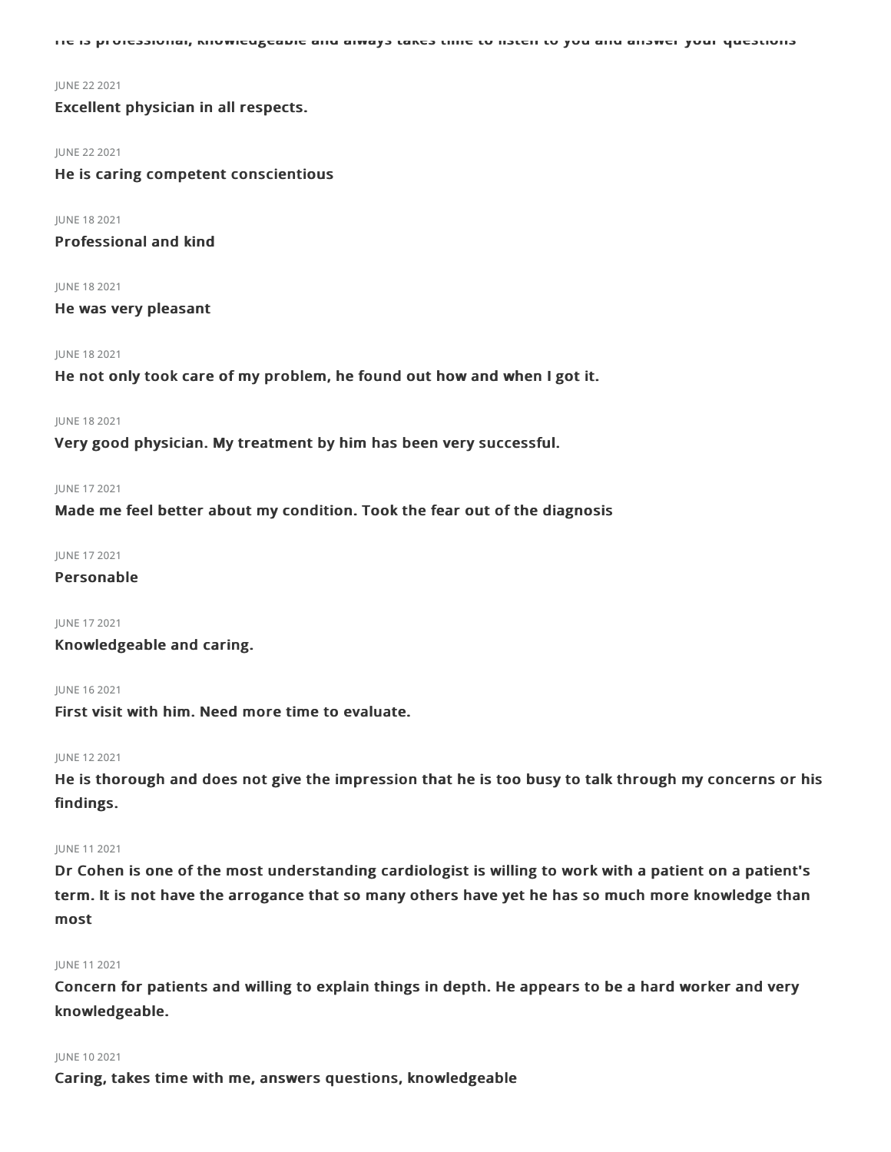He is professional, knowledgeable and always takes time to listen to you and answer your questions

#### JUNE 222021

Excellent physician in all respects.

#### JUNE 22 2021

He is caring competent conscientious

JUNE 182021 Professional and kind

JUNE 182021 He was very pleasant

## JUNE 182021

He not only took care of my problem, he found out how and when I got it.

#### JUNE 182021

Very good physician. My treatment by him has been very successful.

#### JUNE 172021

Made me feel better about my condition. Took the fear out of the diagnosis

JUNE 172021

## Personable

JUNE 172021

Knowledgeable and caring.

JUNE 162021

First visit with him. Need more time to evaluate.

#### JUNE 122021

He is thorough and does not give the impression that he is too busy to talk through my concerns or his findings.

### JUNE 112021

Dr Cohen is one of the most understanding cardiologist is willing to work with a patient on a patient's term. It is not have the arrogance that so many others have yet he has so much more knowledge than most

### JUNE 112021

Concern for patients and willing to explain things in depth. He appears to be a hard worker and very knowledgeable.

#### JUNE 102021

Caring, takes time with me, answers questions, knowledgeable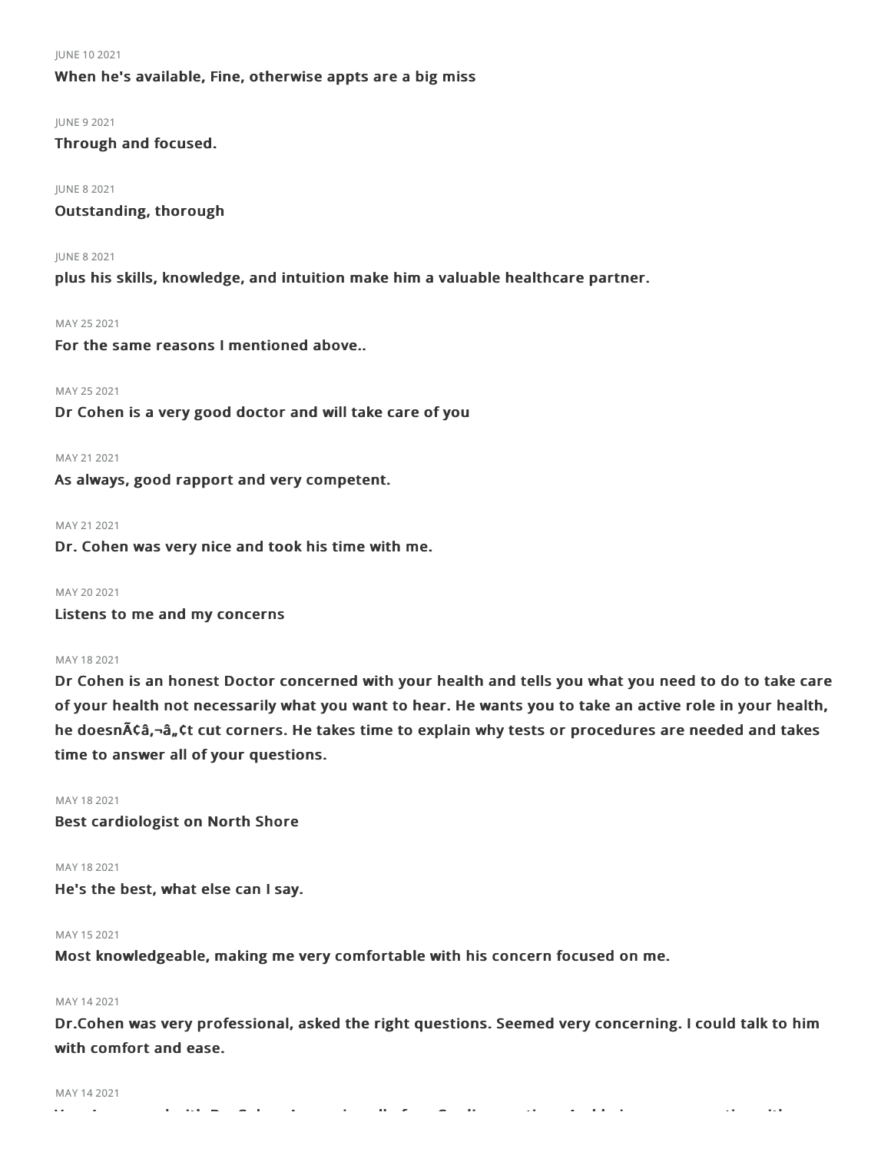### JUNE 102021

## When he's available, Fine, otherwise appts are a big miss

JUNE 92021 Through and focused.

JUNE 82021 Outstanding, thorough

JUNE 82021 plus his skills, knowledge, and intuition make him a valuable healthcare partner.

MAY 252021 For the same reasons I mentioned above..

MAY 252021 Dr Cohen is a very good doctor and will take care of you

MAY 21 2021

As always, good rapport and very competent.

#### MAY 21 2021

Dr. Cohen was very nice and took his time with me.

MAY 20 2021

Listens to me and my concerns

MAY 182021

Dr Cohen is an honest Doctor concerned with your health and tells you what you need to do to take care of your health not necessarily what you want to hear. He wants you to take an active role in your health, he doesn $\tilde{A}$ câ,-â, Ct cut corners. He takes time to explain why tests or procedures are needed and takes time to answer all of your questions.

MAY 182021 Best cardiologist on North Shore

MAY 182021 He's the best, what else can I say.

## MAY 152021

Most knowledgeable, making me very comfortable with his concern focused on me.

## MAY 142021

Dr.Cohen was very professional, asked the right questions. Seemed very concerning. I could talk to him with comfort and ease.

#### MAY 142021

Very Impressed with Dr. Cohen Answering all of my Cardio questions And being very proactive with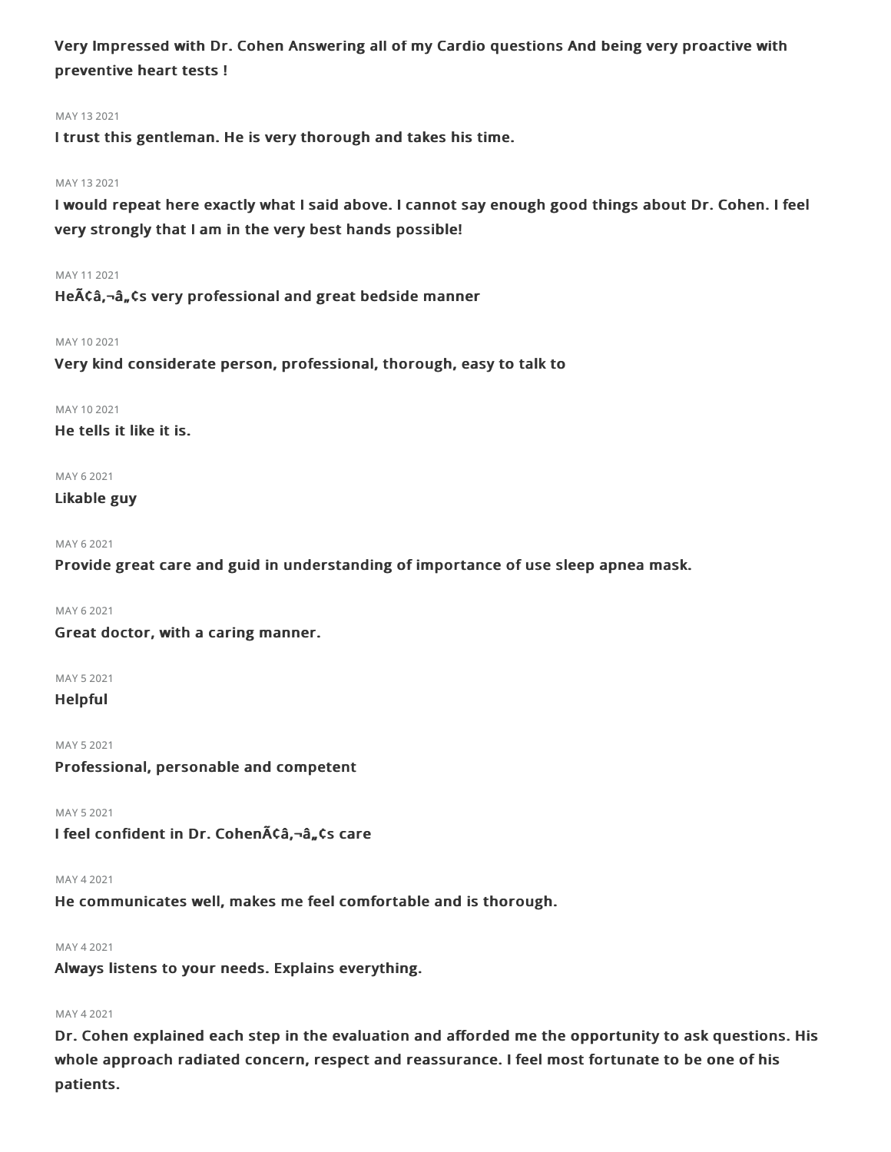Very Impressed with Dr. Cohen Answering all of my Cardio questions And being very proactive with preventive heart tests !

## MAY 132021

I trust this gentleman. He is very thorough and takes his time.

## MAY 132021

I would repeat here exactly what I said above. I cannot say enough good things about Dr. Cohen. I feel very strongly that I am in the very best hands possible!

## MAY 112021

He $\tilde{A}$ Ca,- $\hat{a}_n$ Cs very professional and great bedside manner

### MAY 102021

Very kind considerate person, professional, thorough, easy to talk to

MAY 10 2021

He tells it like it is.

## MAY 62021

## Likable guy

```
MAY 62021
```
Provide great care and guid in understanding of importance of use sleep apnea mask.

```
MAY 62021
```
Great doctor, with a caring manner.

MAY 52021

Helpful

MAY 52021 Professional, personable and competent

MAY 52021

I feel confident in Dr. Cohen $\tilde{A}\tilde{c}$ â, dans care

## MAY 42021

He communicates well, makes me feel comfortable and is thorough.

### MAY 42021

Always listens to your needs. Explains everything.

### MAY 42021

Dr. Cohen explained each step in the evaluation and afforded me the opportunity to ask questions. His whole approach radiated concern, respect and reassurance. I feel most fortunate to be one of his patients.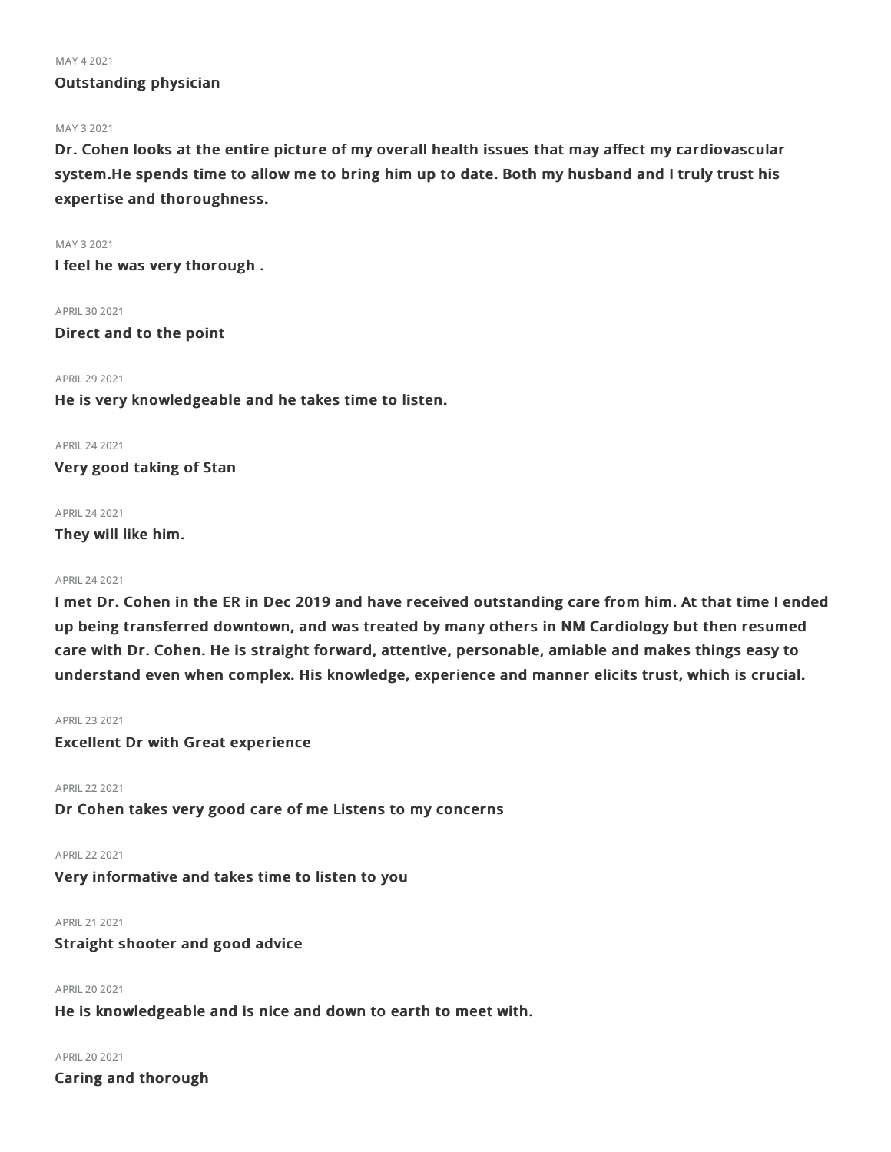#### MAY 42021

## Outstanding physician

### MAY 32021

Dr. Cohen looks at the entire picture of my overall health issues that may affect my cardiovascular system.He spends time to allow me to bring him up to date. Both my husband and I truly trust his expertise and thoroughness.

MAY 32021 I feel he was very thorough .

APRIL 30 2021 Direct and to the point

### APRIL 29 2021

He is very knowledgeable and he takes time to listen.

APRIL242021

Very good taking of Stan

## APRIL242021

They will like him.

### APRIL242021

I met Dr. Cohen in the ER in Dec 2019 and have received outstanding care from him. At that time I ended up being transferred downtown, and was treated by many others in NM Cardiology but then resumed care with Dr. Cohen. He is straight forward, attentive, personable, amiable and makes things easy to understand even when complex. His knowledge, experience and manner elicits trust, which is crucial.

## APRIL232021

Excellent Dr with Great experience

APRIL222021

Dr Cohen takes very good care of me Listens to my concerns

APRIL222021 Very informative and takes time to listen to you

APRIL212021

Straight shooter and good advice

APRIL202021 He is knowledgeable and is nice and down to earth to meet with.

APRIL202021 Caring and thorough